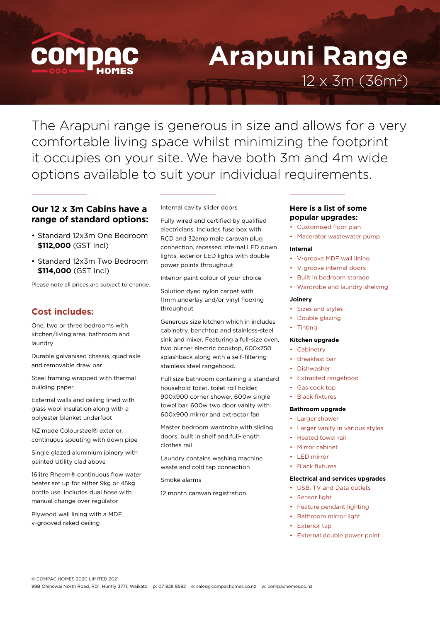

# **Arapuni Range**  $12 \times 3m (36m^2)$

The Arapuni range is generous in size and allows for a very comfortable living space whilst minimizing the footprint it occupies on your site. We have both 3m and 4m wide options available to suit your individual requirements.

## **Our 12 x 3m Cabins have a range of standard options:**

- Standard 12x3m One Bedroom **\$112,000** (GST Incl)
- Standard 12x3m Two Bedroom **\$114,000** (GST Incl)

Please note all prices are subject to change.

## **Cost includes:**

One, two or three bedrooms with kitchen/living area, bathroom and laundry

Durable galvanised chassis, quad axle and removable draw bar

Steel framing wrapped with thermal building paper

External walls and ceiling lined with glass wool insulation along with a polyester blanket underfoot

NZ made Coloursteel® exterior, continuous spouting with down pipe

Single glazed aluminium joinery with painted Utility clad above

16litre Rheem® continuous flow water heater set up for either 9kg or 45kg bottle use. Includes dual hose with manual change over regulator

Plywood wall lining with a MDF v-grooved raked ceiling

Internal cavity slider doors

Fully wired and certified by qualified electricians. Includes fuse box with RCD and 32amp male caravan plug connection, recessed internal LED down lights, exterior LED lights with double power points throughout

Interior paint colour of your choice

Solution dyed nylon carpet with 11mm underlay and/or vinyl flooring throughout

Generous size kitchen which in includes cabinetry, benchtop and stainless-steel sink and mixer. Featuring a full-size oven, two burner electric cooktop, 600x750 splashback along with a self-filtering stainless steel rangehood.

Full size bathroom containing a standard household toilet, toilet roll holder, 900x900 corner shower, 600w single towel bar, 600w two door vanity with 600x900 mirror and extractor fan

Master bedroom wardrobe with sliding doors, built in shelf and full-length clothes rail

Laundry contains washing machine waste and cold tap connection

Smoke alarms

12 month caravan registration

### **Here is a list of some popular upgrades:**

- Customised floor plan
- Macerator wastewater pump

#### **Internal**

- V-groove MDF wall lining
- V-groove internal doors
- Built in bedroom storage
- Wardrobe and laundry shelving

#### **Joinery**

- Sizes and styles
- Double glazing
- Tinting

#### **Kitchen upgrade**

- Cabinetry
- Breakfast bar
- Dishwasher
- Extracted rangehood
- Gas cook top

## **Black fixtures**

### **Bathroom upgrade**

- Larger shower
- Larger vanity in various styles
- Heated towel rail
- Mirror cabinet
- LED mirror
- Black fixtures

#### **Electrical and services upgrades**

- USB, TV and Data outlets
- Sensor light
- Feature pendant lighting
- Bathroom mirror light
- **Exterior tap**
- External double power point